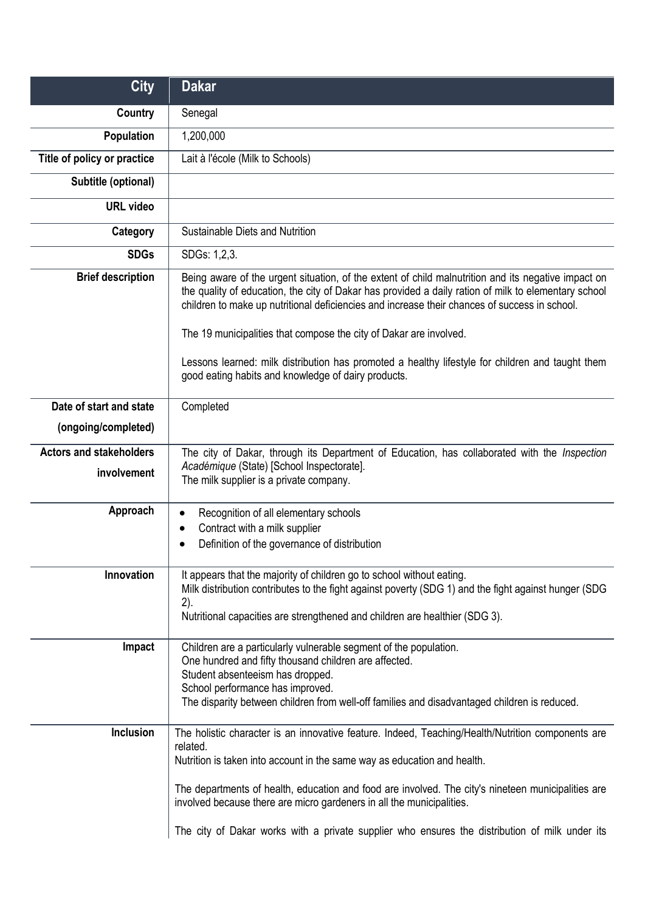| <b>City</b>                    | <b>Dakar</b>                                                                                                                                                                                                                                                                                                 |
|--------------------------------|--------------------------------------------------------------------------------------------------------------------------------------------------------------------------------------------------------------------------------------------------------------------------------------------------------------|
| <b>Country</b>                 | Senegal                                                                                                                                                                                                                                                                                                      |
| <b>Population</b>              | 1,200,000                                                                                                                                                                                                                                                                                                    |
| Title of policy or practice    | Lait à l'école (Milk to Schools)                                                                                                                                                                                                                                                                             |
| Subtitle (optional)            |                                                                                                                                                                                                                                                                                                              |
| <b>URL video</b>               |                                                                                                                                                                                                                                                                                                              |
| Category                       | Sustainable Diets and Nutrition                                                                                                                                                                                                                                                                              |
| <b>SDGs</b>                    | SDGs: 1,2,3.                                                                                                                                                                                                                                                                                                 |
| <b>Brief description</b>       | Being aware of the urgent situation, of the extent of child malnutrition and its negative impact on<br>the quality of education, the city of Dakar has provided a daily ration of milk to elementary school<br>children to make up nutritional deficiencies and increase their chances of success in school. |
|                                | The 19 municipalities that compose the city of Dakar are involved.                                                                                                                                                                                                                                           |
|                                | Lessons learned: milk distribution has promoted a healthy lifestyle for children and taught them<br>good eating habits and knowledge of dairy products.                                                                                                                                                      |
| Date of start and state        | Completed                                                                                                                                                                                                                                                                                                    |
| (ongoing/completed)            |                                                                                                                                                                                                                                                                                                              |
| <b>Actors and stakeholders</b> | The city of Dakar, through its Department of Education, has collaborated with the Inspection                                                                                                                                                                                                                 |
| involvement                    | Académique (State) [School Inspectorate].<br>The milk supplier is a private company.                                                                                                                                                                                                                         |
| Approach                       | Recognition of all elementary schools<br>$\bullet$                                                                                                                                                                                                                                                           |
|                                | Contract with a milk supplier<br>$\bullet$<br>Definition of the governance of distribution                                                                                                                                                                                                                   |
|                                |                                                                                                                                                                                                                                                                                                              |
| Innovation                     | It appears that the majority of children go to school without eating.<br>Milk distribution contributes to the fight against poverty (SDG 1) and the fight against hunger (SDG                                                                                                                                |
|                                | 2).<br>Nutritional capacities are strengthened and children are healthier (SDG 3).                                                                                                                                                                                                                           |
| Impact                         | Children are a particularly vulnerable segment of the population.<br>One hundred and fifty thousand children are affected.                                                                                                                                                                                   |
|                                | Student absenteeism has dropped.                                                                                                                                                                                                                                                                             |
|                                | School performance has improved.<br>The disparity between children from well-off families and disadvantaged children is reduced.                                                                                                                                                                             |
| Inclusion                      | The holistic character is an innovative feature. Indeed, Teaching/Health/Nutrition components are<br>related.                                                                                                                                                                                                |
|                                | Nutrition is taken into account in the same way as education and health.                                                                                                                                                                                                                                     |
|                                | The departments of health, education and food are involved. The city's nineteen municipalities are<br>involved because there are micro gardeners in all the municipalities.                                                                                                                                  |
|                                | The city of Dakar works with a private supplier who ensures the distribution of milk under its                                                                                                                                                                                                               |